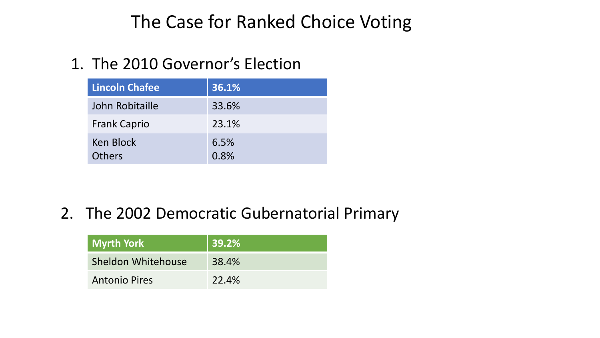## The Case for Ranked Choice Voting

## 1. The 2010 Governor's Election

| <b>Lincoln Chafee</b>      | 36.1%        |
|----------------------------|--------------|
| John Robitaille            | 33.6%        |
| <b>Frank Caprio</b>        | 23.1%        |
| Ken Block<br><b>Others</b> | 6.5%<br>0.8% |

## 2. The 2002 Democratic Gubernatorial Primary

| Myrth York           | $ 39.2\% $ |
|----------------------|------------|
| Sheldon Whitehouse   | 38.4%      |
| <b>Antonio Pires</b> | 22.4%      |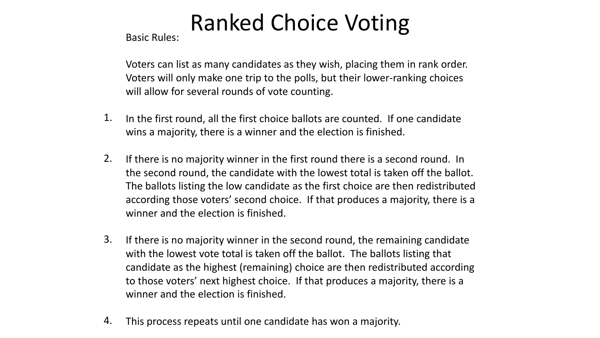# Ranked Choice Voting

Basic Rules:

Voters can list as many candidates as they wish, placing them in rank order. Voters will only make one trip to the polls, but their lower-ranking choices will allow for several rounds of vote counting.

- In the first round, all the first choice ballots are counted. If one candidate wins a majority, there is a winner and the election is finished. 1.
- If there is no majority winner in the first round there is a second round. In the second round, the candidate with the lowest total is taken off the ballot. The ballots listing the low candidate as the first choice are then redistributed according those voters' second choice. If that produces a majority, there is a winner and the election is finished. 2.
- If there is no majority winner in the second round, the remaining candidate with the lowest vote total is taken off the ballot. The ballots listing that candidate as the highest (remaining) choice are then redistributed according to those voters' next highest choice. If that produces a majority, there is a winner and the election is finished. 3.
- This process repeats until one candidate has won a majority. 4.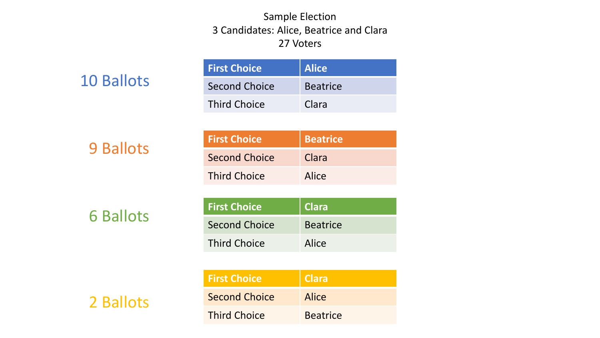### Sample Election 3 Candidates: Alice, Beatrice and Clara 27 Voters

|  | <b>10 Ballots</b> |
|--|-------------------|
|  |                   |

| <b>First Choice</b> | Alice           |
|---------------------|-----------------|
| Second Choice       | <b>Beatrice</b> |
| <b>Third Choice</b> | Clara           |

9 Ballots

| <b>First Choice</b>  | Beatrice |
|----------------------|----------|
| <b>Second Choice</b> | Clara    |
| <b>Third Choice</b>  | Alice    |

6 Ballots

| <b>First Choice</b> | Clara           |
|---------------------|-----------------|
| Second Choice       | <b>Beatrice</b> |
| <b>Third Choice</b> | Alice           |

| <b>First Choice</b>  | <b>Clara</b>    |
|----------------------|-----------------|
| <b>Second Choice</b> | Alice           |
| <b>Third Choice</b>  | <b>Beatrice</b> |

2 Ballots